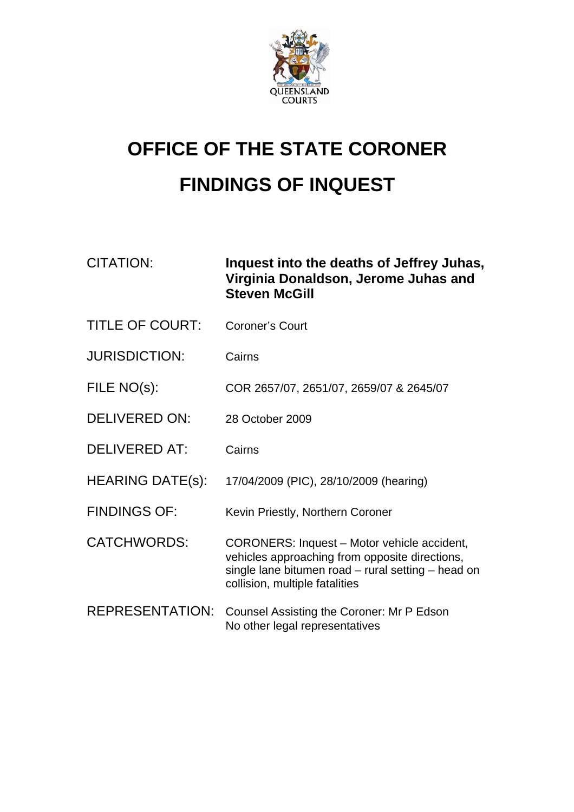

# **OFFICE OF THE STATE CORONER FINDINGS OF INQUEST**

| <b>ITATION:</b> | Inquest int |
|-----------------|-------------|
|                 | Virginia Do |
|                 |             |

CITATION: **Inquest into the deaths of Jeffrey Juhas, Virginia Donaldson, Jerome Juhas and Steven McGill** 

- TITLE OF COURT: Coroner's Court
- JURISDICTION: Cairns
- FILE NO(s): COR 2657/07, 2651/07, 2659/07 & 2645/07
- DELIVERED ON: 28 October 2009
- DELIVERED AT: Cairns
- HEARING DATE(s): 17/04/2009 (PIC), 28/10/2009 (hearing)
- FINDINGS OF: Kevin Priestly, Northern Coroner

CATCHWORDS: CORONERS: Inquest – Motor vehicle accident, vehicles approaching from opposite directions, single lane bitumen road – rural setting – head on collision, multiple fatalities

REPRESENTATION: Counsel Assisting the Coroner: Mr P Edson No other legal representatives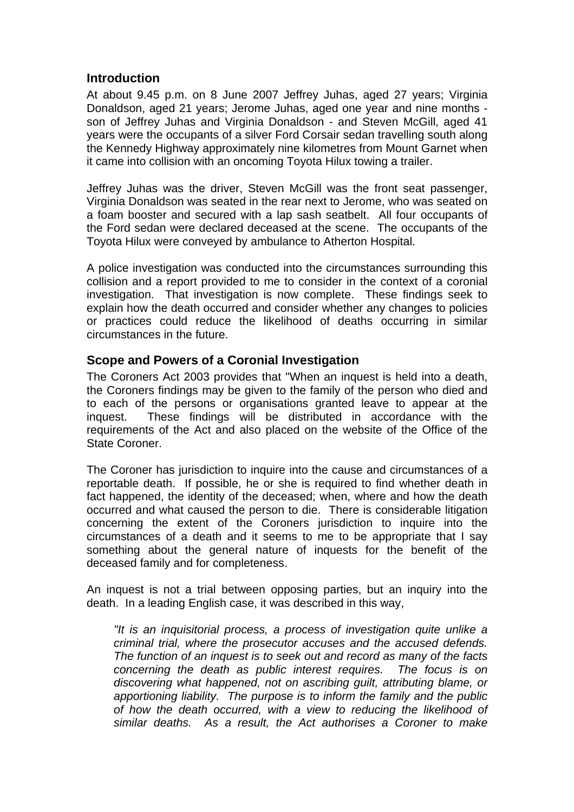#### **Introduction**

At about 9.45 p.m. on 8 June 2007 Jeffrey Juhas, aged 27 years; Virginia Donaldson, aged 21 years; Jerome Juhas, aged one year and nine months son of Jeffrey Juhas and Virginia Donaldson - and Steven McGill, aged 41 years were the occupants of a silver Ford Corsair sedan travelling south along the Kennedy Highway approximately nine kilometres from Mount Garnet when it came into collision with an oncoming Toyota Hilux towing a trailer.

Jeffrey Juhas was the driver, Steven McGill was the front seat passenger, Virginia Donaldson was seated in the rear next to Jerome, who was seated on a foam booster and secured with a lap sash seatbelt. All four occupants of the Ford sedan were declared deceased at the scene. The occupants of the Toyota Hilux were conveyed by ambulance to Atherton Hospital.

A police investigation was conducted into the circumstances surrounding this collision and a report provided to me to consider in the context of a coronial investigation. That investigation is now complete. These findings seek to explain how the death occurred and consider whether any changes to policies or practices could reduce the likelihood of deaths occurring in similar circumstances in the future.

# **Scope and Powers of a Coronial Investigation**

The Coroners Act 2003 provides that "When an inquest is held into a death, the Coroners findings may be given to the family of the person who died and to each of the persons or organisations granted leave to appear at the inquest. These findings will be distributed in accordance with the requirements of the Act and also placed on the website of the Office of the State Coroner.

The Coroner has jurisdiction to inquire into the cause and circumstances of a reportable death. If possible, he or she is required to find whether death in fact happened, the identity of the deceased; when, where and how the death occurred and what caused the person to die. There is considerable litigation concerning the extent of the Coroners jurisdiction to inquire into the circumstances of a death and it seems to me to be appropriate that I say something about the general nature of inquests for the benefit of the deceased family and for completeness.

An inquest is not a trial between opposing parties, but an inquiry into the death. In a leading English case, it was described in this way,

*"It is an inquisitorial process, a process of investigation quite unlike a criminal trial, where the prosecutor accuses and the accused defends. The function of an inquest is to seek out and record as many of the facts concerning the death as public interest requires. The focus is on discovering what happened, not on ascribing guilt, attributing blame, or apportioning liability. The purpose is to inform the family and the public of how the death occurred, with a view to reducing the likelihood of similar deaths. As a result, the Act authorises a Coroner to make*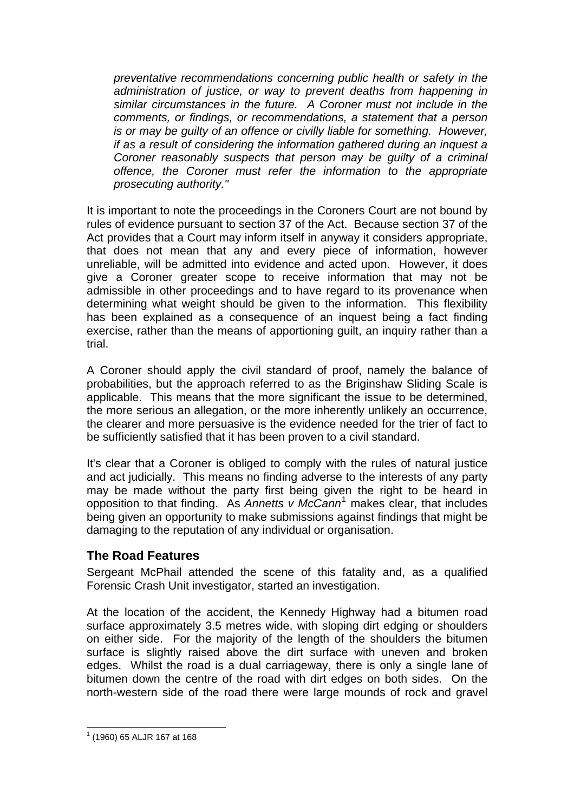*preventative recommendations concerning public health or safety in the administration of justice, or way to prevent deaths from happening in similar circumstances in the future. A Coroner must not include in the comments, or findings, or recommendations, a statement that a person is or may be guilty of an offence or civilly liable for something. However, if as a result of considering the information gathered during an inquest a Coroner reasonably suspects that person may be guilty of a criminal offence, the Coroner must refer the information to the appropriate prosecuting authority."* 

It is important to note the proceedings in the Coroners Court are not bound by rules of evidence pursuant to section 37 of the Act. Because section 37 of the Act provides that a Court may inform itself in anyway it considers appropriate, that does not mean that any and every piece of information, however unreliable, will be admitted into evidence and acted upon. However, it does give a Coroner greater scope to receive information that may not be admissible in other proceedings and to have regard to its provenance when determining what weight should be given to the information. This flexibility has been explained as a consequence of an inquest being a fact finding exercise, rather than the means of apportioning guilt, an inquiry rather than a trial.

A Coroner should apply the civil standard of proof, namely the balance of probabilities, but the approach referred to as the Briginshaw Sliding Scale is applicable. This means that the more significant the issue to be determined, the more serious an allegation, or the more inherently unlikely an occurrence, the clearer and more persuasive is the evidence needed for the trier of fact to be sufficiently satisfied that it has been proven to a civil standard.

It's clear that a Coroner is obliged to comply with the rules of natural justice and act judicially. This means no finding adverse to the interests of any party may be made without the party first being given the right to be heard in opposition to that finding. As *Annetts v McCann*[1](#page-2-0) makes clear, that includes being given an opportunity to make submissions against findings that might be damaging to the reputation of any individual or organisation.

## **The Road Features**

Sergeant McPhail attended the scene of this fatality and, as a qualified Forensic Crash Unit investigator, started an investigation.

At the location of the accident, the Kennedy Highway had a bitumen road surface approximately 3.5 metres wide, with sloping dirt edging or shoulders on either side. For the majority of the length of the shoulders the bitumen surface is slightly raised above the dirt surface with uneven and broken edges. Whilst the road is a dual carriageway, there is only a single lane of bitumen down the centre of the road with dirt edges on both sides. On the north-western side of the road there were large mounds of rock and gravel

<span id="page-2-0"></span> $\overline{a}$ 1 (1960) 65 ALJR 167 at 168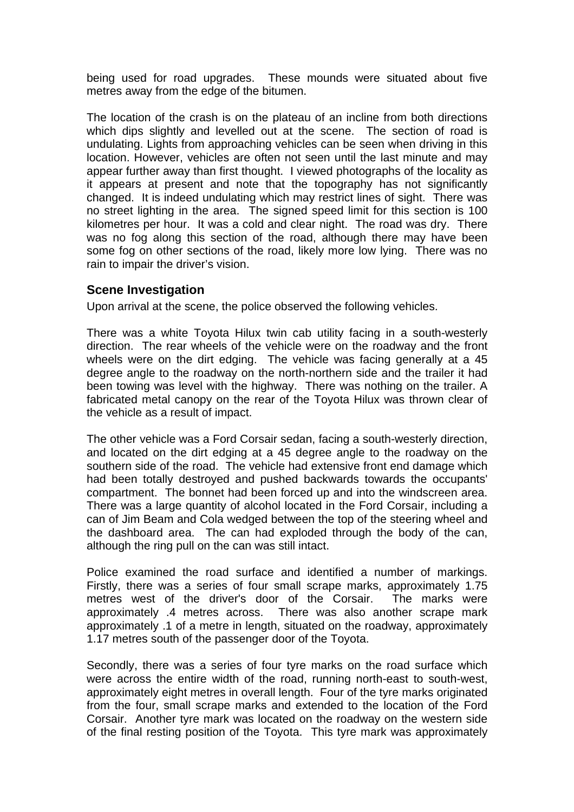being used for road upgrades. These mounds were situated about five metres away from the edge of the bitumen.

The location of the crash is on the plateau of an incline from both directions which dips slightly and levelled out at the scene. The section of road is undulating. Lights from approaching vehicles can be seen when driving in this location. However, vehicles are often not seen until the last minute and may appear further away than first thought. I viewed photographs of the locality as it appears at present and note that the topography has not significantly changed. It is indeed undulating which may restrict lines of sight. There was no street lighting in the area. The signed speed limit for this section is 100 kilometres per hour. It was a cold and clear night. The road was dry. There was no fog along this section of the road, although there may have been some fog on other sections of the road, likely more low lying. There was no rain to impair the driver's vision.

#### **Scene Investigation**

Upon arrival at the scene, the police observed the following vehicles.

There was a white Toyota Hilux twin cab utility facing in a south-westerly direction. The rear wheels of the vehicle were on the roadway and the front wheels were on the dirt edging. The vehicle was facing generally at a 45 degree angle to the roadway on the north-northern side and the trailer it had been towing was level with the highway. There was nothing on the trailer. A fabricated metal canopy on the rear of the Toyota Hilux was thrown clear of the vehicle as a result of impact.

The other vehicle was a Ford Corsair sedan, facing a south-westerly direction, and located on the dirt edging at a 45 degree angle to the roadway on the southern side of the road. The vehicle had extensive front end damage which had been totally destroyed and pushed backwards towards the occupants' compartment. The bonnet had been forced up and into the windscreen area. There was a large quantity of alcohol located in the Ford Corsair, including a can of Jim Beam and Cola wedged between the top of the steering wheel and the dashboard area. The can had exploded through the body of the can, although the ring pull on the can was still intact.

Police examined the road surface and identified a number of markings. Firstly, there was a series of four small scrape marks, approximately 1.75 metres west of the driver's door of the Corsair. The marks were approximately .4 metres across. There was also another scrape mark approximately .1 of a metre in length, situated on the roadway, approximately 1.17 metres south of the passenger door of the Toyota.

Secondly, there was a series of four tyre marks on the road surface which were across the entire width of the road, running north-east to south-west, approximately eight metres in overall length. Four of the tyre marks originated from the four, small scrape marks and extended to the location of the Ford Corsair. Another tyre mark was located on the roadway on the western side of the final resting position of the Toyota. This tyre mark was approximately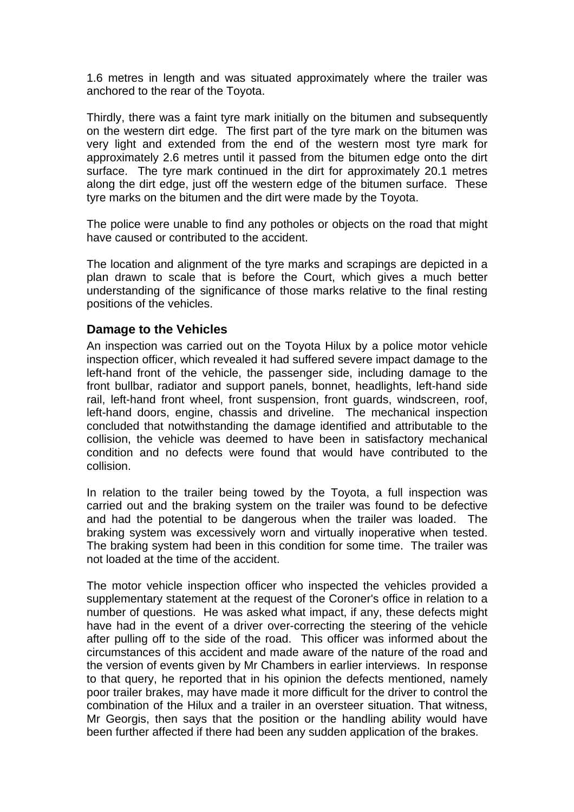1.6 metres in length and was situated approximately where the trailer was anchored to the rear of the Toyota.

Thirdly, there was a faint tyre mark initially on the bitumen and subsequently on the western dirt edge. The first part of the tyre mark on the bitumen was very light and extended from the end of the western most tyre mark for approximately 2.6 metres until it passed from the bitumen edge onto the dirt surface. The tyre mark continued in the dirt for approximately 20.1 metres along the dirt edge, just off the western edge of the bitumen surface. These tyre marks on the bitumen and the dirt were made by the Toyota.

The police were unable to find any potholes or objects on the road that might have caused or contributed to the accident.

The location and alignment of the tyre marks and scrapings are depicted in a plan drawn to scale that is before the Court, which gives a much better understanding of the significance of those marks relative to the final resting positions of the vehicles.

#### **Damage to the Vehicles**

An inspection was carried out on the Toyota Hilux by a police motor vehicle inspection officer, which revealed it had suffered severe impact damage to the left-hand front of the vehicle, the passenger side, including damage to the front bullbar, radiator and support panels, bonnet, headlights, left-hand side rail, left-hand front wheel, front suspension, front guards, windscreen, roof, left-hand doors, engine, chassis and driveline. The mechanical inspection concluded that notwithstanding the damage identified and attributable to the collision, the vehicle was deemed to have been in satisfactory mechanical condition and no defects were found that would have contributed to the collision.

In relation to the trailer being towed by the Toyota, a full inspection was carried out and the braking system on the trailer was found to be defective and had the potential to be dangerous when the trailer was loaded. The braking system was excessively worn and virtually inoperative when tested. The braking system had been in this condition for some time. The trailer was not loaded at the time of the accident.

The motor vehicle inspection officer who inspected the vehicles provided a supplementary statement at the request of the Coroner's office in relation to a number of questions. He was asked what impact, if any, these defects might have had in the event of a driver over-correcting the steering of the vehicle after pulling off to the side of the road. This officer was informed about the circumstances of this accident and made aware of the nature of the road and the version of events given by Mr Chambers in earlier interviews. In response to that query, he reported that in his opinion the defects mentioned, namely poor trailer brakes, may have made it more difficult for the driver to control the combination of the Hilux and a trailer in an oversteer situation. That witness, Mr Georgis, then says that the position or the handling ability would have been further affected if there had been any sudden application of the brakes.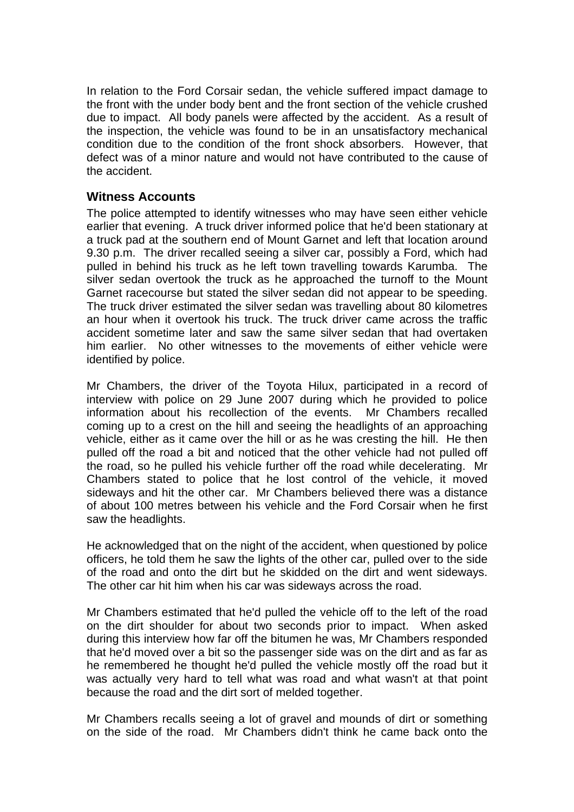In relation to the Ford Corsair sedan, the vehicle suffered impact damage to the front with the under body bent and the front section of the vehicle crushed due to impact. All body panels were affected by the accident. As a result of the inspection, the vehicle was found to be in an unsatisfactory mechanical condition due to the condition of the front shock absorbers. However, that defect was of a minor nature and would not have contributed to the cause of the accident.

## **Witness Accounts**

The police attempted to identify witnesses who may have seen either vehicle earlier that evening. A truck driver informed police that he'd been stationary at a truck pad at the southern end of Mount Garnet and left that location around 9.30 p.m. The driver recalled seeing a silver car, possibly a Ford, which had pulled in behind his truck as he left town travelling towards Karumba. The silver sedan overtook the truck as he approached the turnoff to the Mount Garnet racecourse but stated the silver sedan did not appear to be speeding. The truck driver estimated the silver sedan was travelling about 80 kilometres an hour when it overtook his truck. The truck driver came across the traffic accident sometime later and saw the same silver sedan that had overtaken him earlier. No other witnesses to the movements of either vehicle were identified by police.

Mr Chambers, the driver of the Toyota Hilux, participated in a record of interview with police on 29 June 2007 during which he provided to police information about his recollection of the events. Mr Chambers recalled coming up to a crest on the hill and seeing the headlights of an approaching vehicle, either as it came over the hill or as he was cresting the hill. He then pulled off the road a bit and noticed that the other vehicle had not pulled off the road, so he pulled his vehicle further off the road while decelerating. Mr Chambers stated to police that he lost control of the vehicle, it moved sideways and hit the other car. Mr Chambers believed there was a distance of about 100 metres between his vehicle and the Ford Corsair when he first saw the headlights.

He acknowledged that on the night of the accident, when questioned by police officers, he told them he saw the lights of the other car, pulled over to the side of the road and onto the dirt but he skidded on the dirt and went sideways. The other car hit him when his car was sideways across the road.

Mr Chambers estimated that he'd pulled the vehicle off to the left of the road on the dirt shoulder for about two seconds prior to impact. When asked during this interview how far off the bitumen he was, Mr Chambers responded that he'd moved over a bit so the passenger side was on the dirt and as far as he remembered he thought he'd pulled the vehicle mostly off the road but it was actually very hard to tell what was road and what wasn't at that point because the road and the dirt sort of melded together.

Mr Chambers recalls seeing a lot of gravel and mounds of dirt or something on the side of the road. Mr Chambers didn't think he came back onto the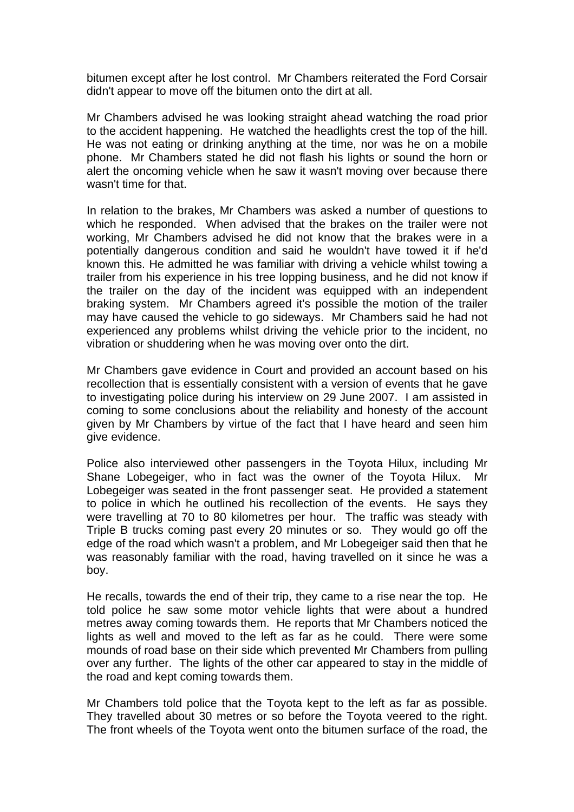bitumen except after he lost control. Mr Chambers reiterated the Ford Corsair didn't appear to move off the bitumen onto the dirt at all.

Mr Chambers advised he was looking straight ahead watching the road prior to the accident happening. He watched the headlights crest the top of the hill. He was not eating or drinking anything at the time, nor was he on a mobile phone. Mr Chambers stated he did not flash his lights or sound the horn or alert the oncoming vehicle when he saw it wasn't moving over because there wasn't time for that.

In relation to the brakes, Mr Chambers was asked a number of questions to which he responded. When advised that the brakes on the trailer were not working, Mr Chambers advised he did not know that the brakes were in a potentially dangerous condition and said he wouldn't have towed it if he'd known this. He admitted he was familiar with driving a vehicle whilst towing a trailer from his experience in his tree lopping business, and he did not know if the trailer on the day of the incident was equipped with an independent braking system. Mr Chambers agreed it's possible the motion of the trailer may have caused the vehicle to go sideways. Mr Chambers said he had not experienced any problems whilst driving the vehicle prior to the incident, no vibration or shuddering when he was moving over onto the dirt.

Mr Chambers gave evidence in Court and provided an account based on his recollection that is essentially consistent with a version of events that he gave to investigating police during his interview on 29 June 2007. I am assisted in coming to some conclusions about the reliability and honesty of the account given by Mr Chambers by virtue of the fact that I have heard and seen him give evidence.

Police also interviewed other passengers in the Toyota Hilux, including Mr Shane Lobegeiger, who in fact was the owner of the Toyota Hilux. Mr Lobegeiger was seated in the front passenger seat. He provided a statement to police in which he outlined his recollection of the events. He says they were travelling at 70 to 80 kilometres per hour. The traffic was steady with Triple B trucks coming past every 20 minutes or so. They would go off the edge of the road which wasn't a problem, and Mr Lobegeiger said then that he was reasonably familiar with the road, having travelled on it since he was a boy.

He recalls, towards the end of their trip, they came to a rise near the top. He told police he saw some motor vehicle lights that were about a hundred metres away coming towards them. He reports that Mr Chambers noticed the lights as well and moved to the left as far as he could. There were some mounds of road base on their side which prevented Mr Chambers from pulling over any further. The lights of the other car appeared to stay in the middle of the road and kept coming towards them.

Mr Chambers told police that the Toyota kept to the left as far as possible. They travelled about 30 metres or so before the Toyota veered to the right. The front wheels of the Toyota went onto the bitumen surface of the road, the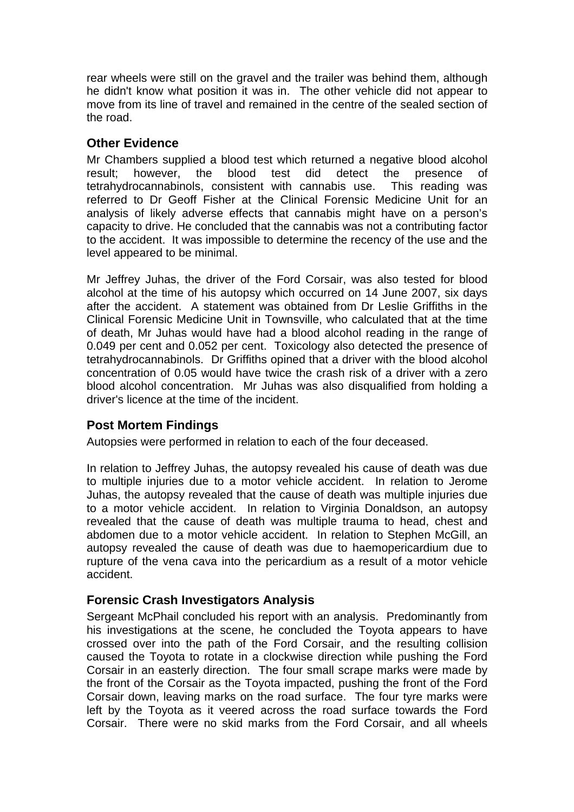rear wheels were still on the gravel and the trailer was behind them, although he didn't know what position it was in. The other vehicle did not appear to move from its line of travel and remained in the centre of the sealed section of the road.

## **Other Evidence**

Mr Chambers supplied a blood test which returned a negative blood alcohol result; however, the blood test did detect the presence of tetrahydrocannabinols, consistent with cannabis use. This reading was referred to Dr Geoff Fisher at the Clinical Forensic Medicine Unit for an analysis of likely adverse effects that cannabis might have on a person's capacity to drive. He concluded that the cannabis was not a contributing factor to the accident. It was impossible to determine the recency of the use and the level appeared to be minimal.

Mr Jeffrey Juhas, the driver of the Ford Corsair, was also tested for blood alcohol at the time of his autopsy which occurred on 14 June 2007, six days after the accident. A statement was obtained from Dr Leslie Griffiths in the Clinical Forensic Medicine Unit in Townsville, who calculated that at the time of death, Mr Juhas would have had a blood alcohol reading in the range of 0.049 per cent and 0.052 per cent. Toxicology also detected the presence of tetrahydrocannabinols. Dr Griffiths opined that a driver with the blood alcohol concentration of 0.05 would have twice the crash risk of a driver with a zero blood alcohol concentration. Mr Juhas was also disqualified from holding a driver's licence at the time of the incident.

## **Post Mortem Findings**

Autopsies were performed in relation to each of the four deceased.

In relation to Jeffrey Juhas, the autopsy revealed his cause of death was due to multiple injuries due to a motor vehicle accident. In relation to Jerome Juhas, the autopsy revealed that the cause of death was multiple injuries due to a motor vehicle accident. In relation to Virginia Donaldson, an autopsy revealed that the cause of death was multiple trauma to head, chest and abdomen due to a motor vehicle accident. In relation to Stephen McGill, an autopsy revealed the cause of death was due to haemopericardium due to rupture of the vena cava into the pericardium as a result of a motor vehicle accident.

## **Forensic Crash Investigators Analysis**

Sergeant McPhail concluded his report with an analysis. Predominantly from his investigations at the scene, he concluded the Toyota appears to have crossed over into the path of the Ford Corsair, and the resulting collision caused the Toyota to rotate in a clockwise direction while pushing the Ford Corsair in an easterly direction. The four small scrape marks were made by the front of the Corsair as the Toyota impacted, pushing the front of the Ford Corsair down, leaving marks on the road surface. The four tyre marks were left by the Toyota as it veered across the road surface towards the Ford Corsair. There were no skid marks from the Ford Corsair, and all wheels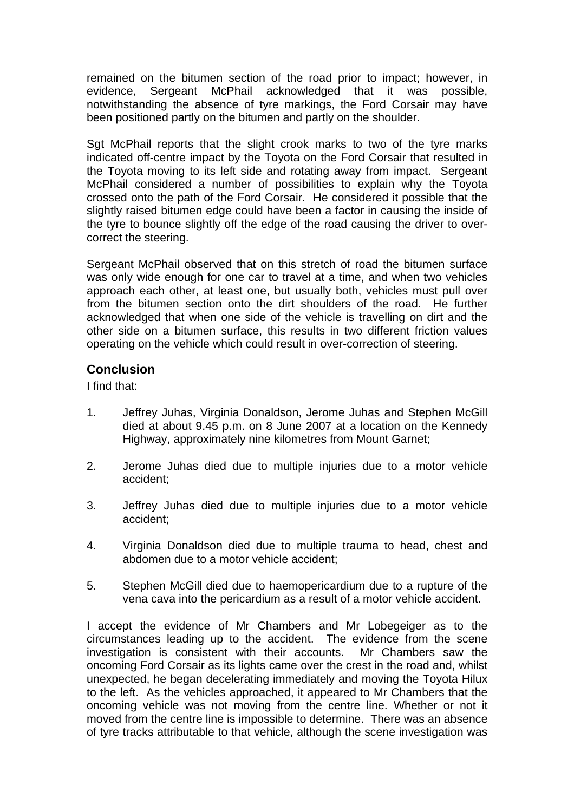remained on the bitumen section of the road prior to impact; however, in evidence, Sergeant McPhail acknowledged that it was possible, notwithstanding the absence of tyre markings, the Ford Corsair may have been positioned partly on the bitumen and partly on the shoulder.

Sgt McPhail reports that the slight crook marks to two of the tyre marks indicated off-centre impact by the Toyota on the Ford Corsair that resulted in the Toyota moving to its left side and rotating away from impact. Sergeant McPhail considered a number of possibilities to explain why the Toyota crossed onto the path of the Ford Corsair. He considered it possible that the slightly raised bitumen edge could have been a factor in causing the inside of the tyre to bounce slightly off the edge of the road causing the driver to overcorrect the steering.

Sergeant McPhail observed that on this stretch of road the bitumen surface was only wide enough for one car to travel at a time, and when two vehicles approach each other, at least one, but usually both, vehicles must pull over from the bitumen section onto the dirt shoulders of the road. He further acknowledged that when one side of the vehicle is travelling on dirt and the other side on a bitumen surface, this results in two different friction values operating on the vehicle which could result in over-correction of steering.

#### **Conclusion**

I find that:

- 1. Jeffrey Juhas, Virginia Donaldson, Jerome Juhas and Stephen McGill died at about 9.45 p.m. on 8 June 2007 at a location on the Kennedy Highway, approximately nine kilometres from Mount Garnet;
- 2. Jerome Juhas died due to multiple injuries due to a motor vehicle accident;
- 3. Jeffrey Juhas died due to multiple injuries due to a motor vehicle accident;
- 4. Virginia Donaldson died due to multiple trauma to head, chest and abdomen due to a motor vehicle accident;
- 5. Stephen McGill died due to haemopericardium due to a rupture of the vena cava into the pericardium as a result of a motor vehicle accident.

I accept the evidence of Mr Chambers and Mr Lobegeiger as to the circumstances leading up to the accident. The evidence from the scene investigation is consistent with their accounts. Mr Chambers saw the oncoming Ford Corsair as its lights came over the crest in the road and, whilst unexpected, he began decelerating immediately and moving the Toyota Hilux to the left. As the vehicles approached, it appeared to Mr Chambers that the oncoming vehicle was not moving from the centre line. Whether or not it moved from the centre line is impossible to determine. There was an absence of tyre tracks attributable to that vehicle, although the scene investigation was